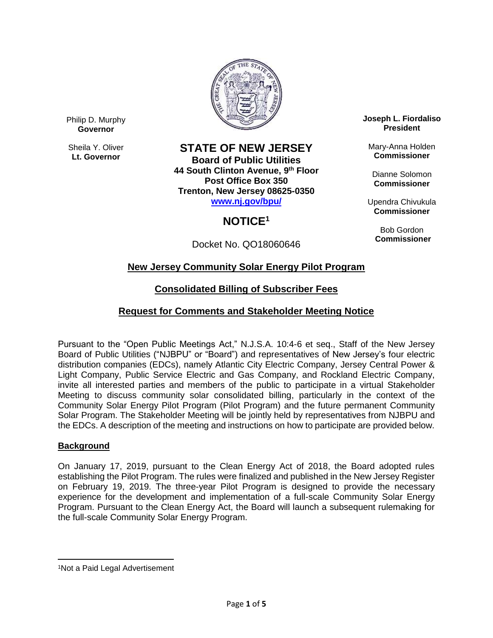

Philip D. Murphy **Governor**

Sheila Y. Oliver **Lt. Governor**

### **STATE OF NEW JERSEY**

**Board of Public Utilities 44 South Clinton Avenue, 9 th Floor Post Office Box 350 Trenton, New Jersey 08625-0350 [www.nj.gov/bpu/](http://www.nj.gov/bpu/)**

# **NOTICE<sup>1</sup>**

Docket No. QO18060646

**Joseph L. Fiordaliso President**

Mary-Anna Holden **Commissioner**

Dianne Solomon **Commissioner**

Upendra Chivukula **Commissioner**

Bob Gordon **Commissioner**

# **New Jersey Community Solar Energy Pilot Program**

# **Consolidated Billing of Subscriber Fees**

## **Request for Comments and Stakeholder Meeting Notice**

Pursuant to the "Open Public Meetings Act," N.J.S.A. 10:4-6 et seq., Staff of the New Jersey Board of Public Utilities ("NJBPU" or "Board") and representatives of New Jersey's four electric distribution companies (EDCs), namely Atlantic City Electric Company, Jersey Central Power & Light Company, Public Service Electric and Gas Company, and Rockland Electric Company, invite all interested parties and members of the public to participate in a virtual Stakeholder Meeting to discuss community solar consolidated billing, particularly in the context of the Community Solar Energy Pilot Program (Pilot Program) and the future permanent Community Solar Program. The Stakeholder Meeting will be jointly held by representatives from NJBPU and the EDCs. A description of the meeting and instructions on how to participate are provided below.

### **Background**

On January 17, 2019, pursuant to the Clean Energy Act of 2018, the Board adopted rules establishing the Pilot Program. The rules were finalized and published in the New Jersey Register on February 19, 2019. The three-year Pilot Program is designed to provide the necessary experience for the development and implementation of a full-scale Community Solar Energy Program. Pursuant to the Clean Energy Act, the Board will launch a subsequent rulemaking for the full-scale Community Solar Energy Program.

 $\overline{a}$ <sup>1</sup>Not a Paid Legal Advertisement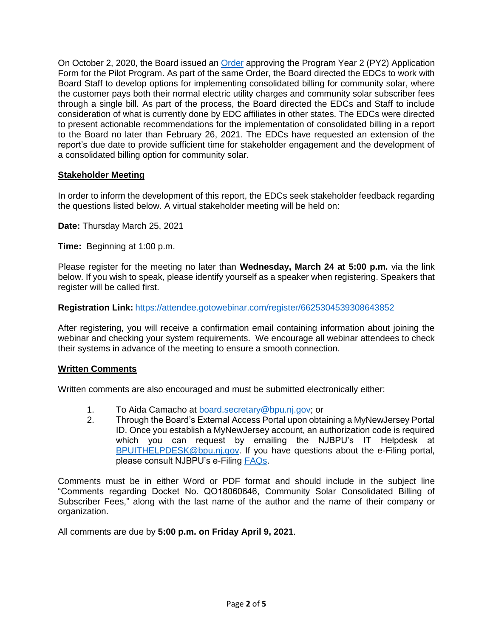On October 2, 2020, the Board issued an [Order](https://www.nj.gov/bpu/pdf/boardorders/2020/20201002/8C%20-%20ORDER%20Community%20Solar%20Year%202%20Application%20Form%20and%20Process%202020-10-01.pdf) approving the Program Year 2 (PY2) Application Form for the Pilot Program. As part of the same Order, the Board directed the EDCs to work with Board Staff to develop options for implementing consolidated billing for community solar, where the customer pays both their normal electric utility charges and community solar subscriber fees through a single bill. As part of the process, the Board directed the EDCs and Staff to include consideration of what is currently done by EDC affiliates in other states. The EDCs were directed to present actionable recommendations for the implementation of consolidated billing in a report to the Board no later than February 26, 2021. The EDCs have requested an extension of the report's due date to provide sufficient time for stakeholder engagement and the development of a consolidated billing option for community solar.

### **Stakeholder Meeting**

In order to inform the development of this report, the EDCs seek stakeholder feedback regarding the questions listed below. A virtual stakeholder meeting will be held on:

**Date:** Thursday March 25, 2021

**Time:** Beginning at 1:00 p.m.

Please register for the meeting no later than **Wednesday, March 24 at 5:00 p.m.** via the link below. If you wish to speak, please identify yourself as a speaker when registering. Speakers that register will be called first.

#### **Registration Link:** <https://attendee.gotowebinar.com/register/6625304539308643852>

After registering, you will receive a confirmation email containing information about joining the webinar and checking your system requirements. We encourage all webinar attendees to check their systems in advance of the meeting to ensure a smooth connection.

#### **Written Comments**

Written comments are also encouraged and must be submitted electronically either:

- 1. To Aida Camacho at [board.secretary@bpu.nj.gov;](mailto:board.secretary@bpu.nj.gov) or
- 2. Through the Board's External Access Portal upon obtaining a MyNewJersey Portal ID. Once you establish a MyNewJersey account, an authorization code is required which you can request by emailing the NJBPU's IT Helpdesk at [BPUITHELPDESK@bpu.nj.gov.](mailto:BPUITHELPDESK@bpu.nj.gov) If you have questions about the e-Filing portal, please consult NJBPU's e-Filing [FAQs.](https://www.bpu.state.nj.us/bpu/agenda/efiling/)

Comments must be in either Word or PDF format and should include in the subject line "Comments regarding Docket No. QO18060646, Community Solar Consolidated Billing of Subscriber Fees," along with the last name of the author and the name of their company or organization.

All comments are due by **5:00 p.m. on Friday April 9, 2021**.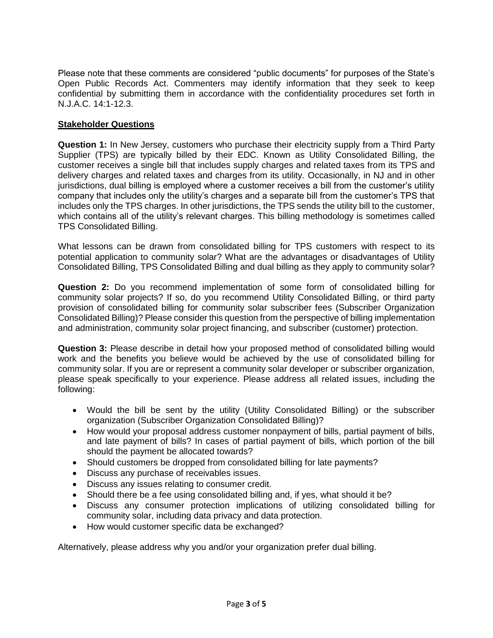Please note that these comments are considered "public documents" for purposes of the State's Open Public Records Act. Commenters may identify information that they seek to keep confidential by submitting them in accordance with the confidentiality procedures set forth in N.J.A.C. 14:1-12.3.

### **Stakeholder Questions**

**Question 1:** In New Jersey, customers who purchase their electricity supply from a Third Party Supplier (TPS) are typically billed by their EDC. Known as Utility Consolidated Billing, the customer receives a single bill that includes supply charges and related taxes from its TPS and delivery charges and related taxes and charges from its utility. Occasionally, in NJ and in other jurisdictions, dual billing is employed where a customer receives a bill from the customer's utility company that includes only the utility's charges and a separate bill from the customer's TPS that includes only the TPS charges. In other jurisdictions, the TPS sends the utility bill to the customer, which contains all of the utility's relevant charges. This billing methodology is sometimes called TPS Consolidated Billing.

What lessons can be drawn from consolidated billing for TPS customers with respect to its potential application to community solar? What are the advantages or disadvantages of Utility Consolidated Billing, TPS Consolidated Billing and dual billing as they apply to community solar?

**Question 2:** Do you recommend implementation of some form of consolidated billing for community solar projects? If so, do you recommend Utility Consolidated Billing, or third party provision of consolidated billing for community solar subscriber fees (Subscriber Organization Consolidated Billing)? Please consider this question from the perspective of billing implementation and administration, community solar project financing, and subscriber (customer) protection.

**Question 3:** Please describe in detail how your proposed method of consolidated billing would work and the benefits you believe would be achieved by the use of consolidated billing for community solar. If you are or represent a community solar developer or subscriber organization, please speak specifically to your experience. Please address all related issues, including the following:

- Would the bill be sent by the utility (Utility Consolidated Billing) or the subscriber organization (Subscriber Organization Consolidated Billing)?
- How would your proposal address customer nonpayment of bills, partial payment of bills, and late payment of bills? In cases of partial payment of bills, which portion of the bill should the payment be allocated towards?
- Should customers be dropped from consolidated billing for late payments?
- Discuss any purchase of receivables issues.
- Discuss any issues relating to consumer credit.
- Should there be a fee using consolidated billing and, if yes, what should it be?
- Discuss any consumer protection implications of utilizing consolidated billing for community solar, including data privacy and data protection.
- How would customer specific data be exchanged?

Alternatively, please address why you and/or your organization prefer dual billing.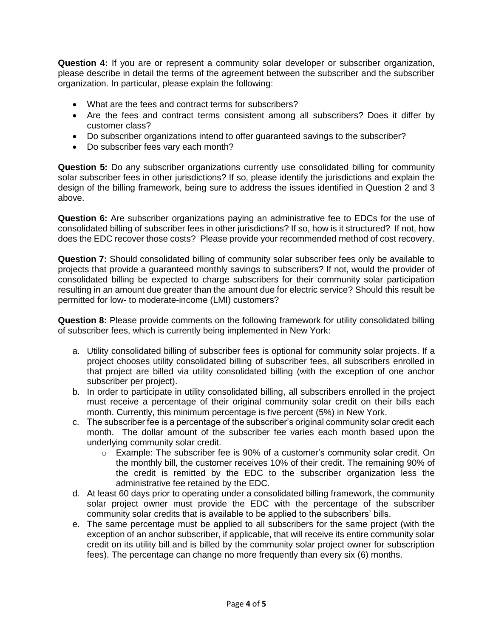**Question 4:** If you are or represent a community solar developer or subscriber organization, please describe in detail the terms of the agreement between the subscriber and the subscriber organization. In particular, please explain the following:

- What are the fees and contract terms for subscribers?
- Are the fees and contract terms consistent among all subscribers? Does it differ by customer class?
- Do subscriber organizations intend to offer guaranteed savings to the subscriber?
- Do subscriber fees vary each month?

**Question 5:** Do any subscriber organizations currently use consolidated billing for community solar subscriber fees in other jurisdictions? If so, please identify the jurisdictions and explain the design of the billing framework, being sure to address the issues identified in Question 2 and 3 above.

**Question 6:** Are subscriber organizations paying an administrative fee to EDCs for the use of consolidated billing of subscriber fees in other jurisdictions? If so, how is it structured? If not, how does the EDC recover those costs? Please provide your recommended method of cost recovery.

**Question 7:** Should consolidated billing of community solar subscriber fees only be available to projects that provide a guaranteed monthly savings to subscribers? If not, would the provider of consolidated billing be expected to charge subscribers for their community solar participation resulting in an amount due greater than the amount due for electric service? Should this result be permitted for low- to moderate-income (LMI) customers?

**Question 8:** Please provide comments on the following framework for utility consolidated billing of subscriber fees, which is currently being implemented in New York:

- a. Utility consolidated billing of subscriber fees is optional for community solar projects. If a project chooses utility consolidated billing of subscriber fees, all subscribers enrolled in that project are billed via utility consolidated billing (with the exception of one anchor subscriber per project).
- b. In order to participate in utility consolidated billing, all subscribers enrolled in the project must receive a percentage of their original community solar credit on their bills each month. Currently, this minimum percentage is five percent (5%) in New York.
- c. The subscriber fee is a percentage of the subscriber's original community solar credit each month. The dollar amount of the subscriber fee varies each month based upon the underlying community solar credit.
	- o Example: The subscriber fee is 90% of a customer's community solar credit. On the monthly bill, the customer receives 10% of their credit. The remaining 90% of the credit is remitted by the EDC to the subscriber organization less the administrative fee retained by the EDC.
- d. At least 60 days prior to operating under a consolidated billing framework, the community solar project owner must provide the EDC with the percentage of the subscriber community solar credits that is available to be applied to the subscribers' bills.
- e. The same percentage must be applied to all subscribers for the same project (with the exception of an anchor subscriber, if applicable, that will receive its entire community solar credit on its utility bill and is billed by the community solar project owner for subscription fees). The percentage can change no more frequently than every six (6) months.